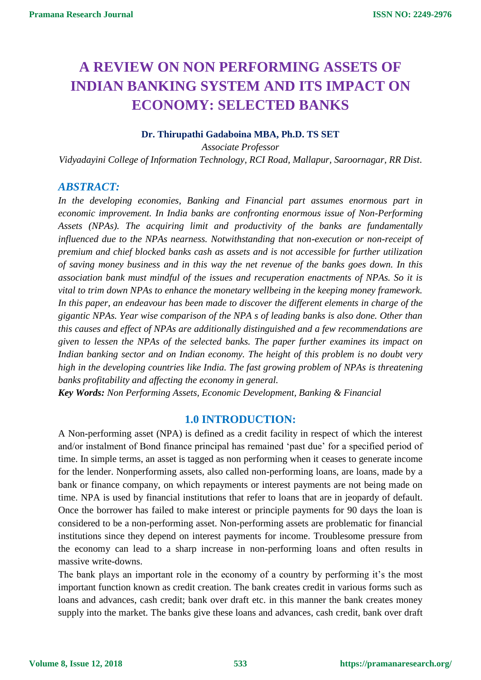# **A REVIEW ON NON PERFORMING ASSETS OF INDIAN BANKING SYSTEM AND ITS IMPACT ON ECONOMY: SELECTED BANKS**

#### **Dr. Thirupathi Gadaboina MBA, Ph.D. TS SET**

*Associate Professor Vidyadayini College of Information Technology, RCI Road, Mallapur, Saroornagar, RR Dist*.

### *ABSTRACT:*

*In the developing economies, Banking and Financial part assumes enormous part in economic improvement. In India banks are confronting enormous issue of Non-Performing Assets (NPAs). The acquiring limit and productivity of the banks are fundamentally influenced due to the NPAs nearness. Notwithstanding that non-execution or non-receipt of premium and chief blocked banks cash as assets and is not accessible for further utilization of saving money business and in this way the net revenue of the banks goes down. In this association bank must mindful of the issues and recuperation enactments of NPAs. So it is vital to trim down NPAs to enhance the monetary wellbeing in the keeping money framework. In this paper, an endeavour has been made to discover the different elements in charge of the gigantic NPAs. Year wise comparison of the NPA s of leading banks is also done. Other than this causes and effect of NPAs are additionally distinguished and a few recommendations are given to lessen the NPAs of the selected banks. The paper further examines its impact on Indian banking sector and on Indian economy. The height of this problem is no doubt very high in the developing countries like India. The fast growing problem of NPAs is threatening banks profitability and affecting the economy in general.*

*Key Words: Non Performing Assets, Economic Development, Banking & Financial*

#### **1.0 INTRODUCTION:**

A Non-performing asset (NPA) is defined as a credit facility in respect of which the interest and/or instalment of Bond finance principal has remained 'past due' for a specified period of time. In simple terms, an asset is tagged as non performing when it ceases to generate income for the lender. Nonperforming assets, also called non-performing loans, are loans, made by a bank or finance company, on which repayments or interest payments are not being made on time. NPA is used by financial institutions that refer to loans that are in jeopardy of default. Once the borrower has failed to make interest or principle payments for 90 days the loan is considered to be a non-performing asset. Non-performing assets are problematic for financial institutions since they depend on interest payments for income. Troublesome pressure from the economy can lead to a sharp increase in non-performing loans and often results in massive write-downs.

The bank plays an important role in the economy of a country by performing it's the most important function known as credit creation. The bank creates credit in various forms such as loans and advances, cash credit; bank over draft etc. in this manner the bank creates money supply into the market. The banks give these loans and advances, cash credit, bank over draft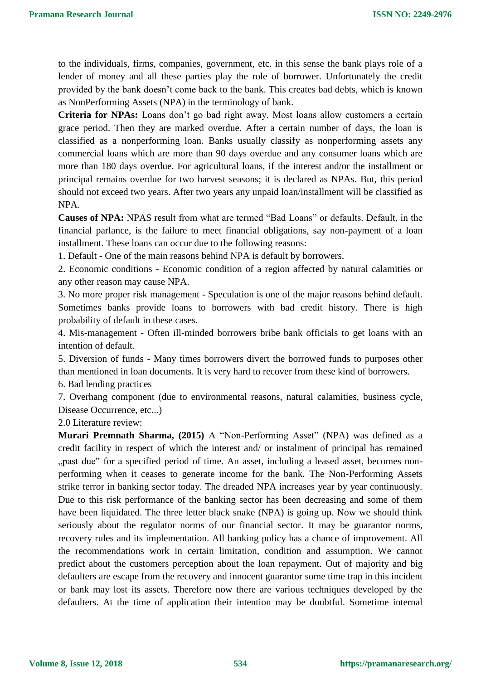to the individuals, firms, companies, government, etc. in this sense the bank plays role of a lender of money and all these parties play the role of borrower. Unfortunately the credit provided by the bank doesn't come back to the bank. This creates bad debts, which is known as NonPerforming Assets (NPA) in the terminology of bank.

**Criteria for NPAs:** Loans don't go bad right away. Most loans allow customers a certain grace period. Then they are marked overdue. After a certain number of days, the loan is classified as a nonperforming loan. Banks usually classify as nonperforming assets any commercial loans which are more than 90 days overdue and any consumer loans which are more than 180 days overdue. For agricultural loans, if the interest and/or the installment or principal remains overdue for two harvest seasons; it is declared as NPAs. But, this period should not exceed two years. After two years any unpaid loan/installment will be classified as NPA.

**Causes of NPA:** NPAS result from what are termed "Bad Loans" or defaults. Default, in the financial parlance, is the failure to meet financial obligations, say non-payment of a loan installment. These loans can occur due to the following reasons:

1. Default - One of the main reasons behind NPA is default by borrowers.

2. Economic conditions - Economic condition of a region affected by natural calamities or any other reason may cause NPA.

3. No more proper risk management - Speculation is one of the major reasons behind default. Sometimes banks provide loans to borrowers with bad credit history. There is high probability of default in these cases.

4. Mis-management - Often ill-minded borrowers bribe bank officials to get loans with an intention of default.

5. Diversion of funds - Many times borrowers divert the borrowed funds to purposes other than mentioned in loan documents. It is very hard to recover from these kind of borrowers.

6. Bad lending practices

7. Overhang component (due to environmental reasons, natural calamities, business cycle, Disease Occurrence, etc...)

2.0 Literature review:

**Murari Premnath Sharma, (2015)** A "Non-Performing Asset" (NPA) was defined as a credit facility in respect of which the interest and/ or instalment of principal has remained "past due" for a specified period of time. An asset, including a leased asset, becomes nonperforming when it ceases to generate income for the bank. The Non-Performing Assets strike terror in banking sector today. The dreaded NPA increases year by year continuously. Due to this risk performance of the banking sector has been decreasing and some of them have been liquidated. The three letter black snake (NPA) is going up. Now we should think seriously about the regulator norms of our financial sector. It may be guarantor norms, recovery rules and its implementation. All banking policy has a chance of improvement. All the recommendations work in certain limitation, condition and assumption. We cannot predict about the customers perception about the loan repayment. Out of majority and big defaulters are escape from the recovery and innocent guarantor some time trap in this incident or bank may lost its assets. Therefore now there are various techniques developed by the defaulters. At the time of application their intention may be doubtful. Sometime internal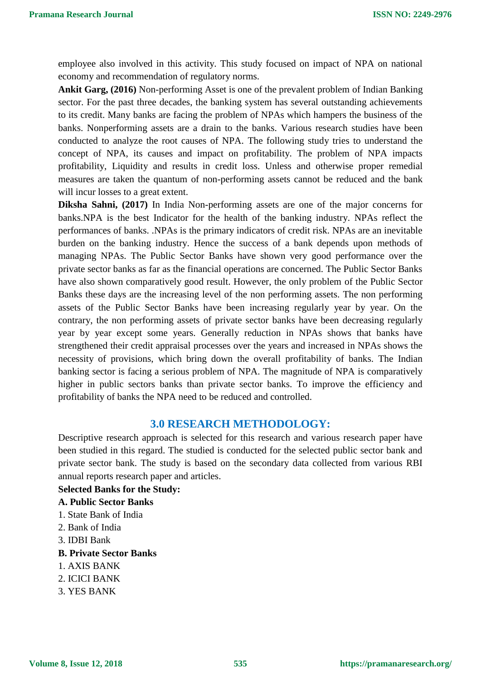employee also involved in this activity. This study focused on impact of NPA on national economy and recommendation of regulatory norms.

**Ankit Garg, (2016)** Non-performing Asset is one of the prevalent problem of Indian Banking sector. For the past three decades, the banking system has several outstanding achievements to its credit. Many banks are facing the problem of NPAs which hampers the business of the banks. Nonperforming assets are a drain to the banks. Various research studies have been conducted to analyze the root causes of NPA. The following study tries to understand the concept of NPA, its causes and impact on profitability. The problem of NPA impacts profitability, Liquidity and results in credit loss. Unless and otherwise proper remedial measures are taken the quantum of non-performing assets cannot be reduced and the bank will incur losses to a great extent.

**Diksha Sahni, (2017)** In India Non-performing assets are one of the major concerns for banks.NPA is the best Indicator for the health of the banking industry. NPAs reflect the performances of banks. .NPAs is the primary indicators of credit risk. NPAs are an inevitable burden on the banking industry. Hence the success of a bank depends upon methods of managing NPAs. The Public Sector Banks have shown very good performance over the private sector banks as far as the financial operations are concerned. The Public Sector Banks have also shown comparatively good result. However, the only problem of the Public Sector Banks these days are the increasing level of the non performing assets. The non performing assets of the Public Sector Banks have been increasing regularly year by year. On the contrary, the non performing assets of private sector banks have been decreasing regularly year by year except some years. Generally reduction in NPAs shows that banks have strengthened their credit appraisal processes over the years and increased in NPAs shows the necessity of provisions, which bring down the overall profitability of banks. The Indian banking sector is facing a serious problem of NPA. The magnitude of NPA is comparatively higher in public sectors banks than private sector banks. To improve the efficiency and profitability of banks the NPA need to be reduced and controlled.

#### **3.0 RESEARCH METHODOLOGY:**

Descriptive research approach is selected for this research and various research paper have been studied in this regard. The studied is conducted for the selected public sector bank and private sector bank. The study is based on the secondary data collected from various RBI annual reports research paper and articles.

#### **Selected Banks for the Study:**

- **A. Public Sector Banks**
- 1. State Bank of India
- 2. Bank of India
- 3. IDBI Bank
- **B. Private Sector Banks**
- 1. AXIS BANK
- 2. ICICI BANK
- 3. YES BANK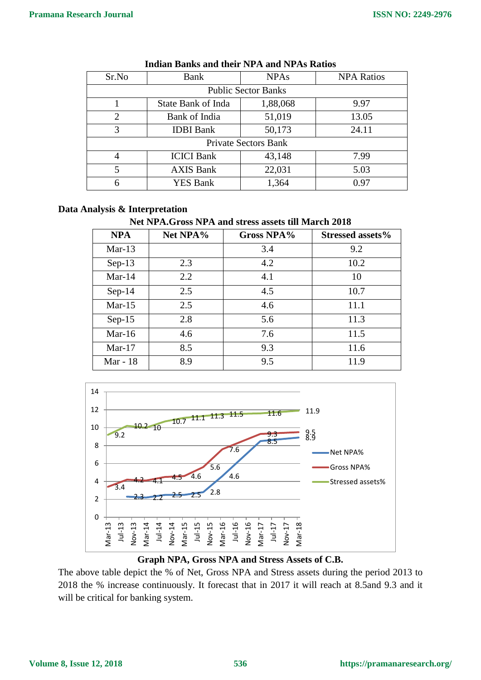| Sr.No                       | Bank                      | <b>NPAs</b> | <b>NPA Ratios</b> |  |
|-----------------------------|---------------------------|-------------|-------------------|--|
| <b>Public Sector Banks</b>  |                           |             |                   |  |
|                             | <b>State Bank of Inda</b> | 1,88,068    | 9.97              |  |
| $\overline{2}$              | Bank of India             | 51,019      | 13.05             |  |
| 3                           | <b>IDBI</b> Bank          | 50,173      | 24.11             |  |
| <b>Private Sectors Bank</b> |                           |             |                   |  |
| 4                           | <b>ICICI Bank</b>         | 43,148      | 7.99              |  |
| 5                           | <b>AXIS Bank</b>          | 22,031      | 5.03              |  |
| 6                           | <b>YES Bank</b>           | 1,364       | 0.97              |  |

#### **Indian Banks and their NPA and NPAs Ratios**

#### **Data Analysis & Interpretation**

#### **Net NPA.Gross NPA and stress assets till March 2018**

| <b>NPA</b> | Net NPA% | <b>Gross NPA%</b> | Stressed assets% |
|------------|----------|-------------------|------------------|
| $Mar-13$   |          | 3.4               | 9.2              |
| $Sep-13$   | 2.3      | 4.2               | 10.2             |
| Mar- $14$  | 2.2      | 4.1               | 10               |
| $Sep-14$   | 2.5      | 4.5               | 10.7             |
| $Mar-15$   | 2.5      | 4.6               | 11.1             |
| $Sep-15$   | 2.8      | 5.6               | 11.3             |
| Mar-16     | 4.6      | 7.6               | 11.5             |
| $Mar-17$   | 8.5      | 9.3               | 11.6             |
| Mar - 18   | 8.9      | 9.5               | 11.9             |



#### **Graph NPA, Gross NPA and Stress Assets of C.B.**

The above table depict the % of Net, Gross NPA and Stress assets during the period 2013 to 2018 the % increase continuously. It forecast that in 2017 it will reach at 8.5and 9.3 and it will be critical for banking system.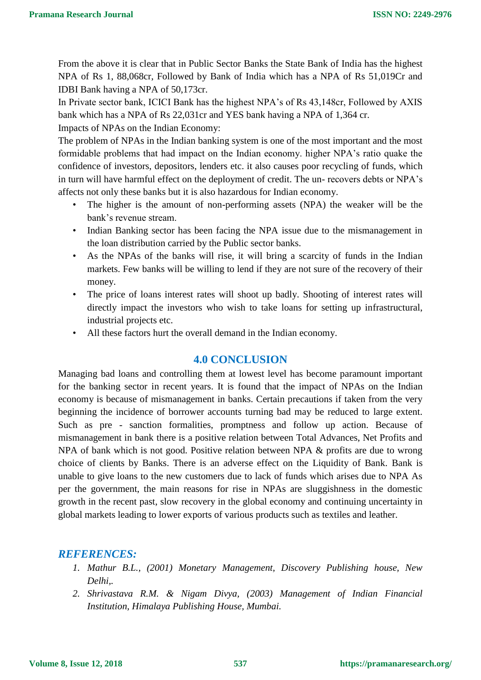From the above it is clear that in Public Sector Banks the State Bank of India has the highest NPA of Rs 1, 88,068cr, Followed by Bank of India which has a NPA of Rs 51,019Cr and IDBI Bank having a NPA of 50,173cr.

In Private sector bank, ICICI Bank has the highest NPA's of Rs 43,148cr, Followed by AXIS bank which has a NPA of Rs 22,031cr and YES bank having a NPA of 1,364 cr.

Impacts of NPAs on the Indian Economy:

The problem of NPAs in the Indian banking system is one of the most important and the most formidable problems that had impact on the Indian economy. higher NPA's ratio quake the confidence of investors, depositors, lenders etc. it also causes poor recycling of funds, which in turn will have harmful effect on the deployment of credit. The un- recovers debts or NPA's affects not only these banks but it is also hazardous for Indian economy.

- The higher is the amount of non-performing assets (NPA) the weaker will be the bank's revenue stream.
- Indian Banking sector has been facing the NPA issue due to the mismanagement in the loan distribution carried by the Public sector banks.
- As the NPAs of the banks will rise, it will bring a scarcity of funds in the Indian markets. Few banks will be willing to lend if they are not sure of the recovery of their money.
- The price of loans interest rates will shoot up badly. Shooting of interest rates will directly impact the investors who wish to take loans for setting up infrastructural, industrial projects etc.
- All these factors hurt the overall demand in the Indian economy.

# **4.0 CONCLUSION**

Managing bad loans and controlling them at lowest level has become paramount important for the banking sector in recent years. It is found that the impact of NPAs on the Indian economy is because of mismanagement in banks. Certain precautions if taken from the very beginning the incidence of borrower accounts turning bad may be reduced to large extent. Such as pre - sanction formalities, promptness and follow up action. Because of mismanagement in bank there is a positive relation between Total Advances, Net Profits and NPA of bank which is not good. Positive relation between NPA & profits are due to wrong choice of clients by Banks. There is an adverse effect on the Liquidity of Bank. Bank is unable to give loans to the new customers due to lack of funds which arises due to NPA As per the government, the main reasons for rise in NPAs are sluggishness in the domestic growth in the recent past, slow recovery in the global economy and continuing uncertainty in global markets leading to lower exports of various products such as textiles and leather.

## *REFERENCES:*

- *1. Mathur B.L., (2001) Monetary Management, Discovery Publishing house, New Delhi,.*
- *2. Shrivastava R.M. & Nigam Divya, (2003) Management of Indian Financial Institution, Himalaya Publishing House, Mumbai.*